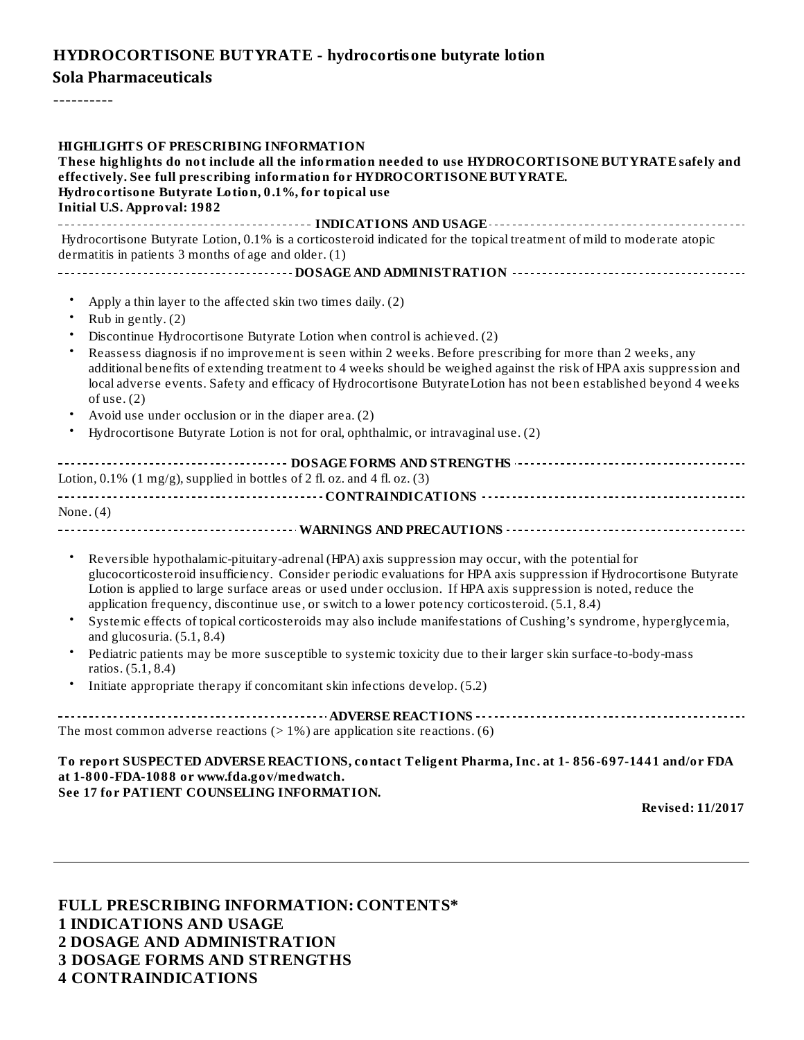### **HYDROCORTISONE BUTYRATE - hydrocortisone butyrate lotion**

## **Teligent Pharma, Inc. Sola Pharmaceuticals**

----------

| HIGHLIGHTS OF PRESCRIBING INFORMATION<br>These highlights do not include all the information needed to use HYDROCORTISONE BUTYRATE safely and<br>effectively. See full prescribing information for HYDROCORTISONE BUT YRATE.<br>Hydrocortisone Butyrate Lotion, 0.1%, for topical use<br><b>Initial U.S. Approval: 1982</b>                                                                                                                                                                                                                                                                                                                                                                                                                                                                                                            |
|----------------------------------------------------------------------------------------------------------------------------------------------------------------------------------------------------------------------------------------------------------------------------------------------------------------------------------------------------------------------------------------------------------------------------------------------------------------------------------------------------------------------------------------------------------------------------------------------------------------------------------------------------------------------------------------------------------------------------------------------------------------------------------------------------------------------------------------|
| Hydrocortisone Butyrate Lotion, 0.1% is a corticosteroid indicated for the topical treatment of mild to moderate atopic<br>dermatitis in patients 3 months of age and older. (1)                                                                                                                                                                                                                                                                                                                                                                                                                                                                                                                                                                                                                                                       |
|                                                                                                                                                                                                                                                                                                                                                                                                                                                                                                                                                                                                                                                                                                                                                                                                                                        |
| $\bullet$<br>Apply a thin layer to the affected skin two times daily. (2)<br>$\bullet$<br>Rub in gently. (2)<br>Discontinue Hydrocortisone Butyrate Lotion when control is achieved. (2)<br>Reassess diagnosis if no improvement is seen within 2 weeks. Before prescribing for more than 2 weeks, any<br>additional benefits of extending treatment to 4 weeks should be weighed against the risk of HPA axis suppression and<br>local adverse events. Safety and efficacy of Hydrocortisone ButyrateLotion has not been established beyond 4 weeks<br>of use. $(2)$<br>Avoid use under occlusion or in the diaper area. (2)<br>Hydrocortisone Butyrate Lotion is not for oral, ophthalmic, or intravaginal use. (2)                                                                                                                  |
| Lotion, $0.1\%$ (1 mg/g), supplied in bottles of 2 fl. oz. and 4 fl. oz. (3)                                                                                                                                                                                                                                                                                                                                                                                                                                                                                                                                                                                                                                                                                                                                                           |
|                                                                                                                                                                                                                                                                                                                                                                                                                                                                                                                                                                                                                                                                                                                                                                                                                                        |
| None. $(4)$                                                                                                                                                                                                                                                                                                                                                                                                                                                                                                                                                                                                                                                                                                                                                                                                                            |
|                                                                                                                                                                                                                                                                                                                                                                                                                                                                                                                                                                                                                                                                                                                                                                                                                                        |
| $\bullet$<br>Reversible hypothalamic-pituitary-adrenal (HPA) axis suppression may occur, with the potential for<br>glucocorticosteroid insufficiency. Consider periodic evaluations for HPA axis suppression if Hydrocortisone Butyrate<br>Lotion is applied to large surface areas or used under occlusion. If HPA axis suppression is noted, reduce the<br>application frequency, discontinue use, or switch to a lower potency corticosteroid. (5.1, 8.4)<br>Systemic effects of topical corticosteroids may also include manifestations of Cushing's syndrome, hyperglycemia,<br>and glucosuria. $(5.1, 8.4)$<br>Pediatric patients may be more susceptible to systemic toxicity due to their larger skin surface-to-body-mass<br>ratios. (5.1, 8.4)<br>Initiate appropriate therapy if concomitant skin infections develop. (5.2) |
|                                                                                                                                                                                                                                                                                                                                                                                                                                                                                                                                                                                                                                                                                                                                                                                                                                        |
| The most common adverse reactions ( $> 1\%$ ) are application site reactions. (6)                                                                                                                                                                                                                                                                                                                                                                                                                                                                                                                                                                                                                                                                                                                                                      |
| To report SUSPECTED ADVERSE REACTIONS, contact Teligent Pharma, Inc. at 1-856-697-1441 and/or FDA<br>at 1-800-FDA-1088 or www.fda.gov/medwatch.<br>See 17 for PATIENT COUNSELING INFORMATION.<br>Dovised, $11/2017$                                                                                                                                                                                                                                                                                                                                                                                                                                                                                                                                                                                                                    |

**Revised: 11/2017**

**FULL PRESCRIBING INFORMATION: CONTENTS\* INDICATIONS AND USAGE DOSAGE AND ADMINISTRATION DOSAGE FORMS AND STRENGTHS CONTRAINDICATIONS**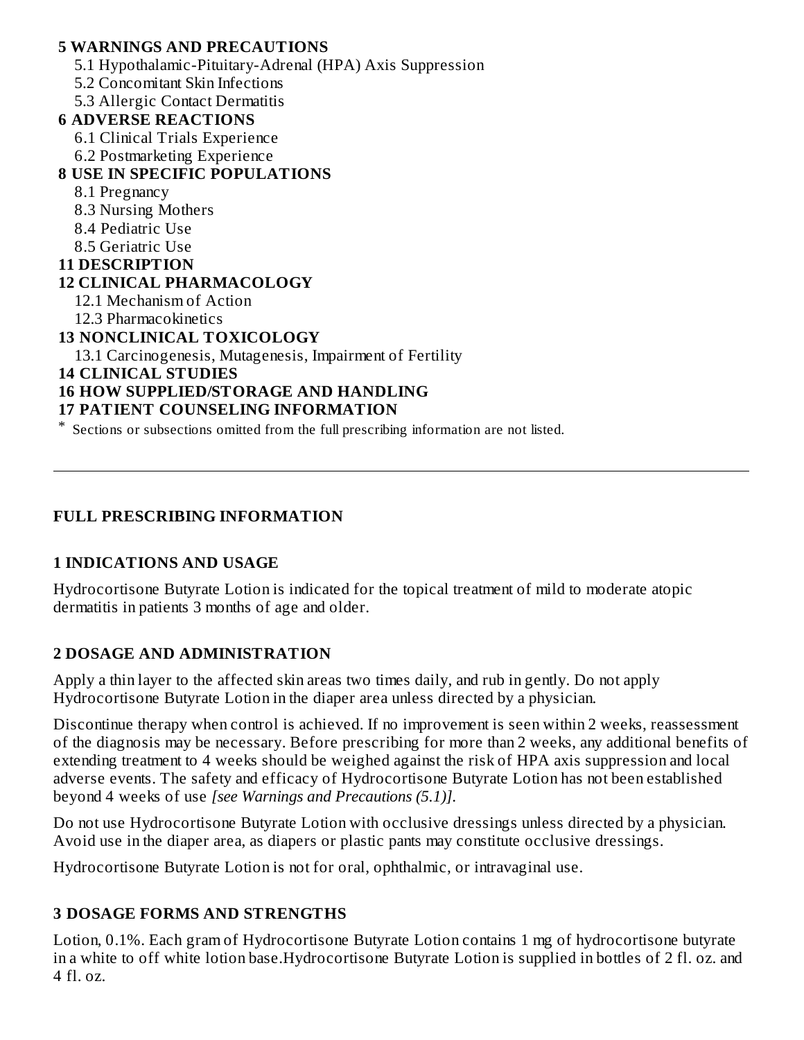#### **5 WARNINGS AND PRECAUTIONS** 5.1 Hypothalamic-Pituitary-Adrenal (HPA) Axis Suppression 5.2 Concomitant Skin Infections 5.3 Allergic Contact Dermatitis **6 ADVERSE REACTIONS** 6.1 Clinical Trials Experience 6.2 Postmarketing Experience **8 USE IN SPECIFIC POPULATIONS** 8.1 Pregnancy 8.3 Nursing Mothers 8.4 Pediatric Use 8.5 Geriatric Use **11 DESCRIPTION 12 CLINICAL PHARMACOLOGY** 12.1 Mechanism of Action 12.3 Pharmacokinetics **13 NONCLINICAL TOXICOLOGY** 13.1 Carcinogenesis, Mutagenesis, Impairment of Fertility **14 CLINICAL STUDIES 16 HOW SUPPLIED/STORAGE AND HANDLING 17 PATIENT COUNSELING INFORMATION**

\* Sections or subsections omitted from the full prescribing information are not listed.

### **FULL PRESCRIBING INFORMATION**

#### **1 INDICATIONS AND USAGE**

Hydrocortisone Butyrate Lotion is indicated for the topical treatment of mild to moderate atopic dermatitis in patients 3 months of age and older.

# **2 DOSAGE AND ADMINISTRATION**

Apply a thin layer to the affected skin areas two times daily, and rub in gently. Do not apply Hydrocortisone Butyrate Lotion in the diaper area unless directed by a physician.

Discontinue therapy when control is achieved. If no improvement is seen within 2 weeks, reassessment of the diagnosis may be necessary. Before prescribing for more than 2 weeks, any additional benefits of extending treatment to 4 weeks should be weighed against the risk of HPA axis suppression and local adverse events. The safety and efficacy of Hydrocortisone Butyrate Lotion has not been established beyond 4 weeks of use *[see Warnings and Precautions (5.1)]*.

Do not use Hydrocortisone Butyrate Lotion with occlusive dressings unless directed by a physician. Avoid use in the diaper area, as diapers or plastic pants may constitute occlusive dressings.

Hydrocortisone Butyrate Lotion is not for oral, ophthalmic, or intravaginal use.

# **3 DOSAGE FORMS AND STRENGTHS**

Lotion, 0.1%. Each gram of Hydrocortisone Butyrate Lotion contains 1 mg of hydrocortisone butyrate in a white to off white lotion base.Hydrocortisone Butyrate Lotion is supplied in bottles of 2 fl. oz. and 4 fl. oz.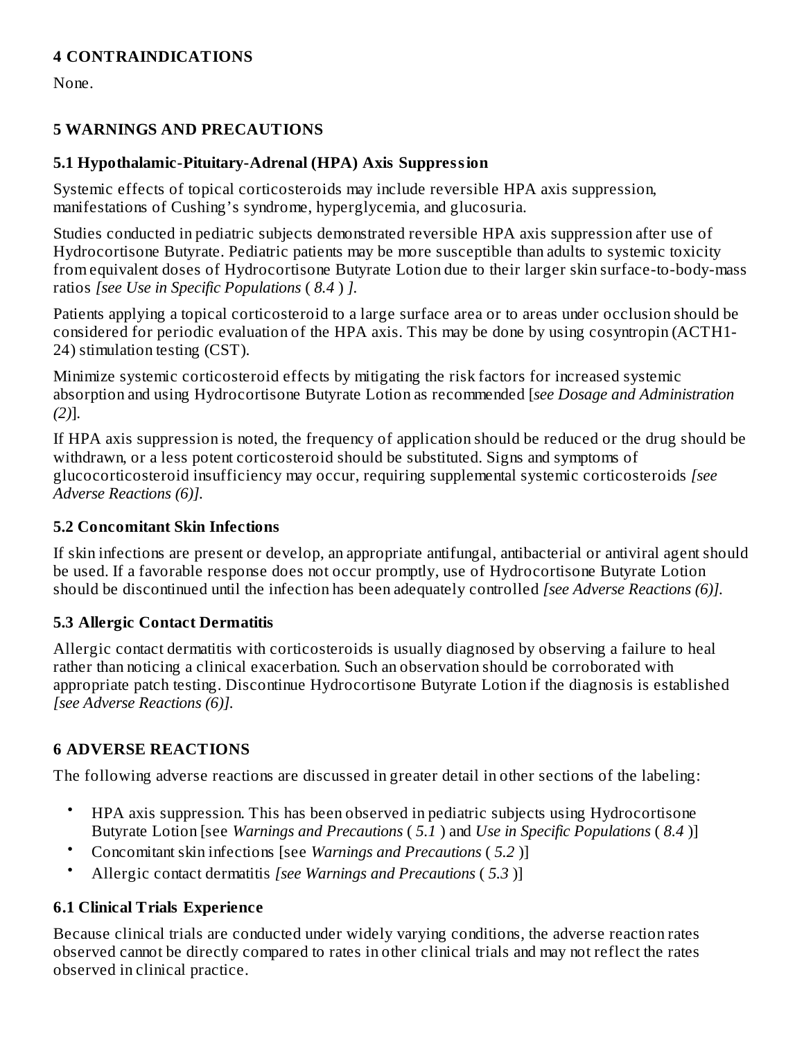# **4 CONTRAINDICATIONS**

None.

## **5 WARNINGS AND PRECAUTIONS**

### **5.1 Hypothalamic-Pituitary-Adrenal (HPA) Axis Suppression**

Systemic effects of topical corticosteroids may include reversible HPA axis suppression, manifestations of Cushing's syndrome, hyperglycemia, and glucosuria.

Studies conducted in pediatric subjects demonstrated reversible HPA axis suppression after use of Hydrocortisone Butyrate. Pediatric patients may be more susceptible than adults to systemic toxicity from equivalent doses of Hydrocortisone Butyrate Lotion due to their larger skin surface-to-body-mass ratios *[see Use in Specific Populations* ( *8.4* ) *].*

Patients applying a topical corticosteroid to a large surface area or to areas under occlusion should be considered for periodic evaluation of the HPA axis. This may be done by using cosyntropin (ACTH1- 24) stimulation testing (CST).

Minimize systemic corticosteroid effects by mitigating the risk factors for increased systemic absorption and using Hydrocortisone Butyrate Lotion as recommended [*see Dosage and Administration (2)*].

If HPA axis suppression is noted, the frequency of application should be reduced or the drug should be withdrawn, or a less potent corticosteroid should be substituted. Signs and symptoms of glucocorticosteroid insufficiency may occur, requiring supplemental systemic corticosteroids *[see Adverse Reactions (6)].*

### **5.2 Concomitant Skin Infections**

If skin infections are present or develop, an appropriate antifungal, antibacterial or antiviral agent should be used. If a favorable response does not occur promptly, use of Hydrocortisone Butyrate Lotion should be discontinued until the infection has been adequately controlled *[see Adverse Reactions (6)].*

#### **5.3 Allergic Contact Dermatitis**

Allergic contact dermatitis with corticosteroids is usually diagnosed by observing a failure to heal rather than noticing a clinical exacerbation. Such an observation should be corroborated with appropriate patch testing. Discontinue Hydrocortisone Butyrate Lotion if the diagnosis is established *[see Adverse Reactions (6)].*

# **6 ADVERSE REACTIONS**

The following adverse reactions are discussed in greater detail in other sections of the labeling:

- HPA axis suppression. This has been observed in pediatric subjects using Hydrocortisone Butyrate Lotion [see *Warnings and Precautions* ( *5.1* ) and *Use in Specific Populations* ( *8.4* )]
- Concomitant skin infections [see *Warnings and Precautions* ( *5.2* )]
- Allergic contact dermatitis *[see Warnings and Precautions* ( *5.3* )]

# **6.1 Clinical Trials Experience**

Because clinical trials are conducted under widely varying conditions, the adverse reaction rates observed cannot be directly compared to rates in other clinical trials and may not reflect the rates observed in clinical practice.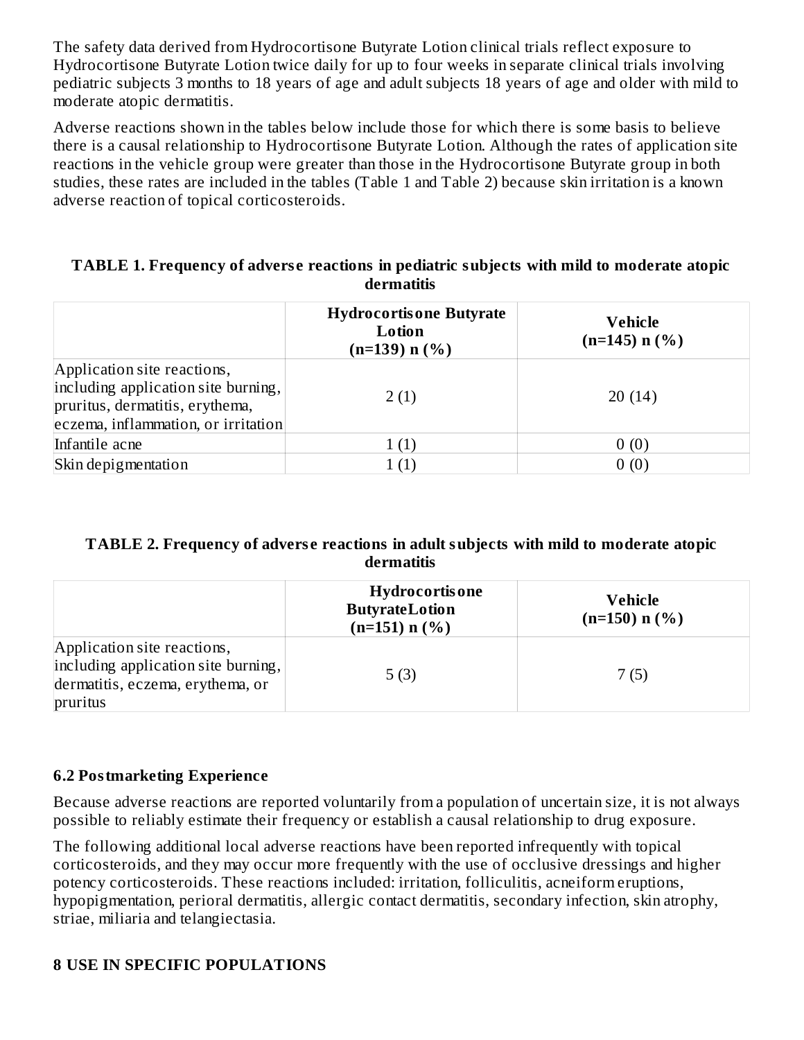The safety data derived from Hydrocortisone Butyrate Lotion clinical trials reflect exposure to Hydrocortisone Butyrate Lotion twice daily for up to four weeks in separate clinical trials involving pediatric subjects 3 months to 18 years of age and adult subjects 18 years of age and older with mild to moderate atopic dermatitis.

Adverse reactions shown in the tables below include those for which there is some basis to believe there is a causal relationship to Hydrocortisone Butyrate Lotion. Although the rates of application site reactions in the vehicle group were greater than those in the Hydrocortisone Butyrate group in both studies, these rates are included in the tables (Table 1 and Table 2) because skin irritation is a known adverse reaction of topical corticosteroids.

#### **TABLE 1. Frequency of advers e reactions in pediatric subjects with mild to moderate atopic dermatitis**

|                                                                                                                                              | <b>Hydrocortisone Butyrate</b><br>Lotion<br>$(n=139) n$ (%) | <b>Vehicle</b><br>$(n=145)$ n $(\% )$ |
|----------------------------------------------------------------------------------------------------------------------------------------------|-------------------------------------------------------------|---------------------------------------|
| Application site reactions,<br>including application site burning,<br>pruritus, dermatitis, erythema,<br>eczema, inflammation, or irritation | 2(1)                                                        | 20(14)                                |
| Infantile acne                                                                                                                               |                                                             | 0(0)                                  |
| Skin depigmentation                                                                                                                          |                                                             | 0(0)                                  |

#### **TABLE 2. Frequency of advers e reactions in adult subjects with mild to moderate atopic dermatitis**

|                                                                                                                    | <b>Hydrocortisone</b><br><b>ButyrateLotion</b><br>$(n=151)$ n $(\% )$ | Vehicle<br>$(n=150)$ n $(\% )$ |
|--------------------------------------------------------------------------------------------------------------------|-----------------------------------------------------------------------|--------------------------------|
| Application site reactions,<br>including application site burning,<br>dermatitis, eczema, erythema, or<br>pruritus | 5(3)                                                                  | 7(5)                           |

#### **6.2 Postmarketing Experience**

Because adverse reactions are reported voluntarily from a population of uncertain size, it is not always possible to reliably estimate their frequency or establish a causal relationship to drug exposure.

The following additional local adverse reactions have been reported infrequently with topical corticosteroids, and they may occur more frequently with the use of occlusive dressings and higher potency corticosteroids. These reactions included: irritation, folliculitis, acneiform eruptions, hypopigmentation, perioral dermatitis, allergic contact dermatitis, secondary infection, skin atrophy, striae, miliaria and telangiectasia.

# **8 USE IN SPECIFIC POPULATIONS**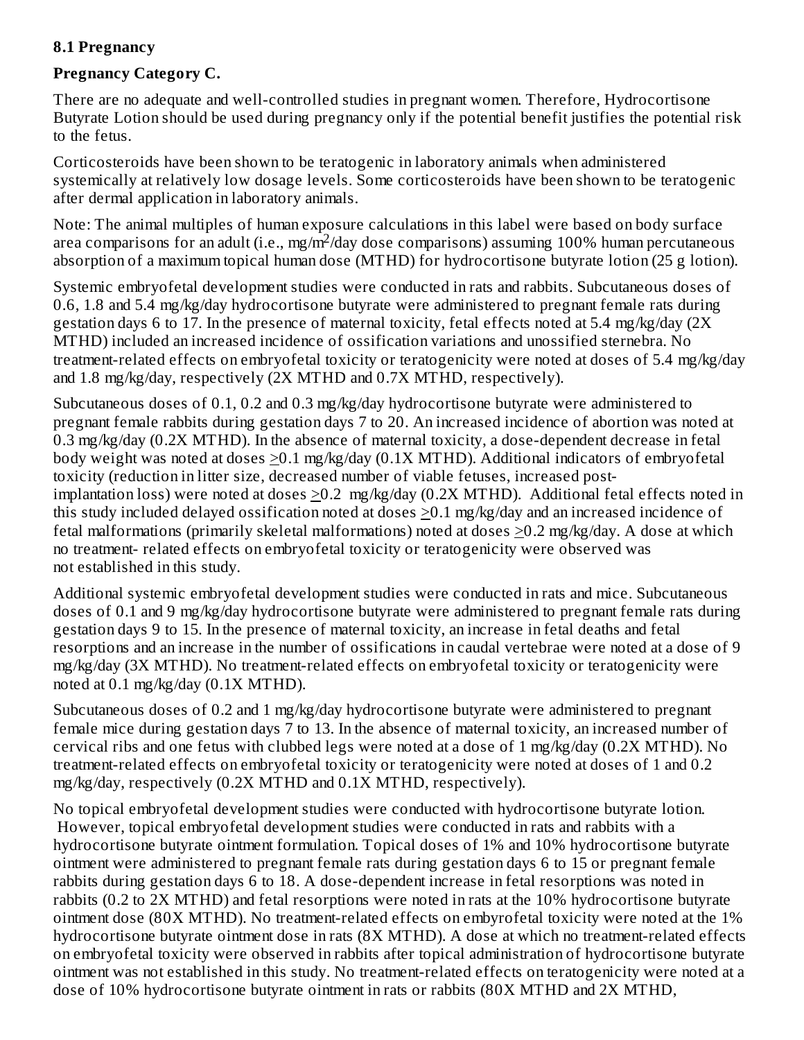### **8.1 Pregnancy**

### **Pregnancy Category C.**

There are no adequate and well-controlled studies in pregnant women. Therefore, Hydrocortisone Butyrate Lotion should be used during pregnancy only if the potential benefit justifies the potential risk to the fetus.

Corticosteroids have been shown to be teratogenic in laboratory animals when administered systemically at relatively low dosage levels. Some corticosteroids have been shown to be teratogenic after dermal application in laboratory animals.

Note: The animal multiples of human exposure calculations in this label were based on body surface area comparisons for an adult (i.e., mg/m<sup>2</sup>/day dose comparisons) assuming 100% human percutaneous absorption of a maximum topical human dose (MTHD) for hydrocortisone butyrate lotion (25 g lotion).

Systemic embryofetal development studies were conducted in rats and rabbits. Subcutaneous doses of 0.6, 1.8 and 5.4 mg/kg/day hydrocortisone butyrate were administered to pregnant female rats during gestation days 6 to 17. In the presence of maternal toxicity, fetal effects noted at 5.4 mg/kg/day (2X MTHD) included an increased incidence of ossification variations and unossified sternebra. No treatment-related effects on embryofetal toxicity or teratogenicity were noted at doses of 5.4 mg/kg/day and 1.8 mg/kg/day, respectively (2X MTHD and 0.7X MTHD, respectively).

Subcutaneous doses of 0.1, 0.2 and 0.3 mg/kg/day hydrocortisone butyrate were administered to pregnant female rabbits during gestation days 7 to 20. An increased incidence of abortion was noted at 0.3 mg/kg/day (0.2X MTHD). In the absence of maternal toxicity, a dose-dependent decrease in fetal body weight was noted at doses  $\geq$ 0.1 mg/kg/day (0.1X MTHD). Additional indicators of embryofetal toxicity (reduction in litter size, decreased number of viable fetuses, increased postimplantation loss) were noted at doses >0.2 mg/kg/day (0.2X MTHD). Additional fetal effects noted in this study included delayed ossification noted at doses  $\geq$ 0.1 mg/kg/day and an increased incidence of fetal malformations (primarily skeletal malformations) noted at doses >0.2 mg/kg/day. A dose at which no treatment- related effects on embryofetal toxicity or teratogenicity were observed was not established in this study.

Additional systemic embryofetal development studies were conducted in rats and mice. Subcutaneous doses of 0.1 and 9 mg/kg/day hydrocortisone butyrate were administered to pregnant female rats during gestation days 9 to 15. In the presence of maternal toxicity, an increase in fetal deaths and fetal resorptions and an increase in the number of ossifications in caudal vertebrae were noted at a dose of 9 mg/kg/day (3X MTHD). No treatment-related effects on embryofetal toxicity or teratogenicity were noted at 0.1 mg/kg/day (0.1X MTHD).

Subcutaneous doses of 0.2 and 1 mg/kg/day hydrocortisone butyrate were administered to pregnant female mice during gestation days 7 to 13. In the absence of maternal toxicity, an increased number of cervical ribs and one fetus with clubbed legs were noted at a dose of 1 mg/kg/day (0.2X MTHD). No treatment-related effects on embryofetal toxicity or teratogenicity were noted at doses of 1 and 0.2 mg/kg/day, respectively (0.2X MTHD and 0.1X MTHD, respectively).

No topical embryofetal development studies were conducted with hydrocortisone butyrate lotion. However, topical embryofetal development studies were conducted in rats and rabbits with a hydrocortisone butyrate ointment formulation. Topical doses of 1% and 10% hydrocortisone butyrate ointment were administered to pregnant female rats during gestation days 6 to 15 or pregnant female rabbits during gestation days 6 to 18. A dose-dependent increase in fetal resorptions was noted in rabbits (0.2 to 2X MTHD) and fetal resorptions were noted in rats at the 10% hydrocortisone butyrate ointment dose (80X MTHD). No treatment-related effects on embyrofetal toxicity were noted at the 1% hydrocortisone butyrate ointment dose in rats (8X MTHD). A dose at which no treatment-related effects on embryofetal toxicity were observed in rabbits after topical administration of hydrocortisone butyrate ointment was not established in this study. No treatment-related effects on teratogenicity were noted at a dose of 10% hydrocortisone butyrate ointment in rats or rabbits (80X MTHD and 2X MTHD,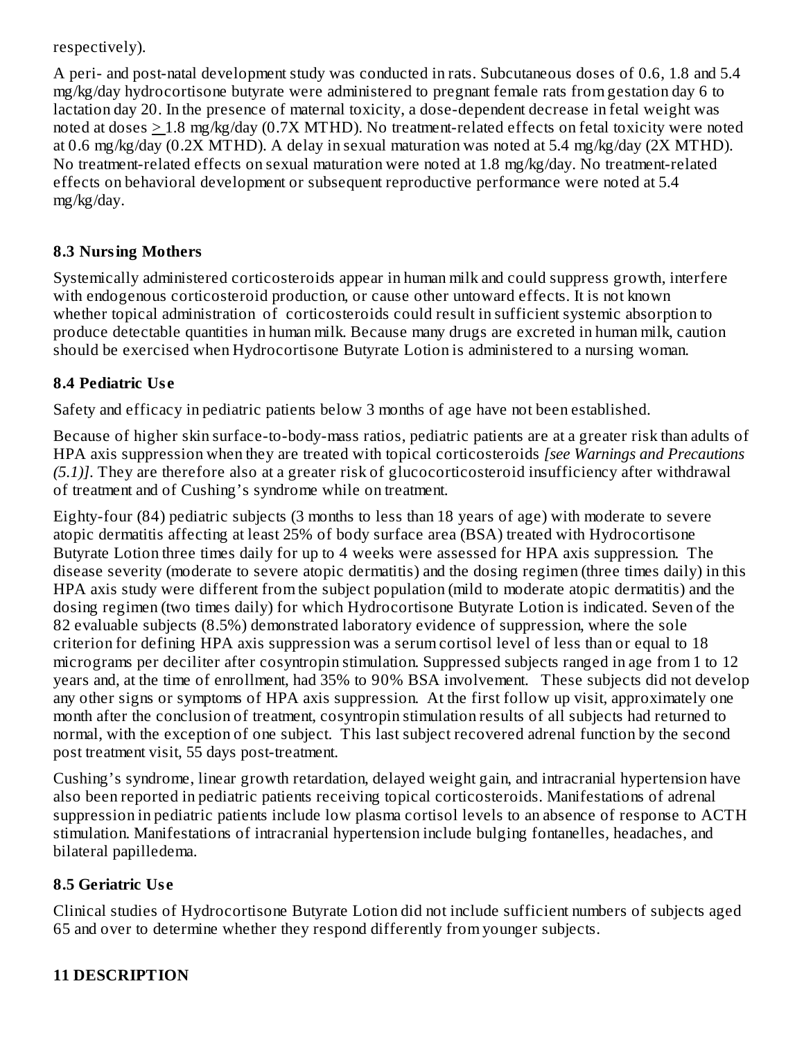### respectively).

A peri- and post-natal development study was conducted in rats. Subcutaneous doses of 0.6, 1.8 and 5.4 mg/kg/day hydrocortisone butyrate were administered to pregnant female rats from gestation day 6 to lactation day 20. In the presence of maternal toxicity, a dose-dependent decrease in fetal weight was noted at doses > 1.8 mg/kg/day (0.7X MTHD). No treatment-related effects on fetal toxicity were noted at 0.6 mg/kg/day (0.2X MTHD). A delay in sexual maturation was noted at 5.4 mg/kg/day (2X MTHD). No treatment-related effects on sexual maturation were noted at 1.8 mg/kg/day. No treatment-related effects on behavioral development or subsequent reproductive performance were noted at 5.4 mg/kg/day.

# **8.3 Nursing Mothers**

Systemically administered corticosteroids appear in human milk and could suppress growth, interfere with endogenous corticosteroid production, or cause other untoward effects. It is not known whether topical administration of corticosteroids could result in sufficient systemic absorption to produce detectable quantities in human milk. Because many drugs are excreted in human milk, caution should be exercised when Hydrocortisone Butyrate Lotion is administered to a nursing woman.

# **8.4 Pediatric Us e**

Safety and efficacy in pediatric patients below 3 months of age have not been established.

Because of higher skin surface-to-body-mass ratios, pediatric patients are at a greater risk than adults of HPA axis suppression when they are treated with topical corticosteroids *[see Warnings and Precautions (5.1)]*. They are therefore also at a greater risk of glucocorticosteroid insufficiency after withdrawal of treatment and of Cushing's syndrome while on treatment.

Eighty-four (84) pediatric subjects (3 months to less than 18 years of age) with moderate to severe atopic dermatitis affecting at least 25% of body surface area (BSA) treated with Hydrocortisone Butyrate Lotion three times daily for up to 4 weeks were assessed for HPA axis suppression. The disease severity (moderate to severe atopic dermatitis) and the dosing regimen (three times daily) in this HPA axis study were different from the subject population (mild to moderate atopic dermatitis) and the dosing regimen (two times daily) for which Hydrocortisone Butyrate Lotion is indicated. Seven of the 82 evaluable subjects (8.5%) demonstrated laboratory evidence of suppression, where the sole criterion for defining HPA axis suppression was a serum cortisol level of less than or equal to 18 micrograms per deciliter after cosyntropin stimulation. Suppressed subjects ranged in age from 1 to 12 years and, at the time of enrollment, had 35% to 90% BSA involvement. These subjects did not develop any other signs or symptoms of HPA axis suppression. At the first follow up visit, approximately one month after the conclusion of treatment, cosyntropin stimulation results of all subjects had returned to normal, with the exception of one subject. This last subject recovered adrenal function by the second post treatment visit, 55 days post-treatment.

Cushing's syndrome, linear growth retardation, delayed weight gain, and intracranial hypertension have also been reported in pediatric patients receiving topical corticosteroids. Manifestations of adrenal suppression in pediatric patients include low plasma cortisol levels to an absence of response to ACTH stimulation. Manifestations of intracranial hypertension include bulging fontanelles, headaches, and bilateral papilledema.

# **8.5 Geriatric Us e**

Clinical studies of Hydrocortisone Butyrate Lotion did not include sufficient numbers of subjects aged 65 and over to determine whether they respond differently from younger subjects.

# **11 DESCRIPTION**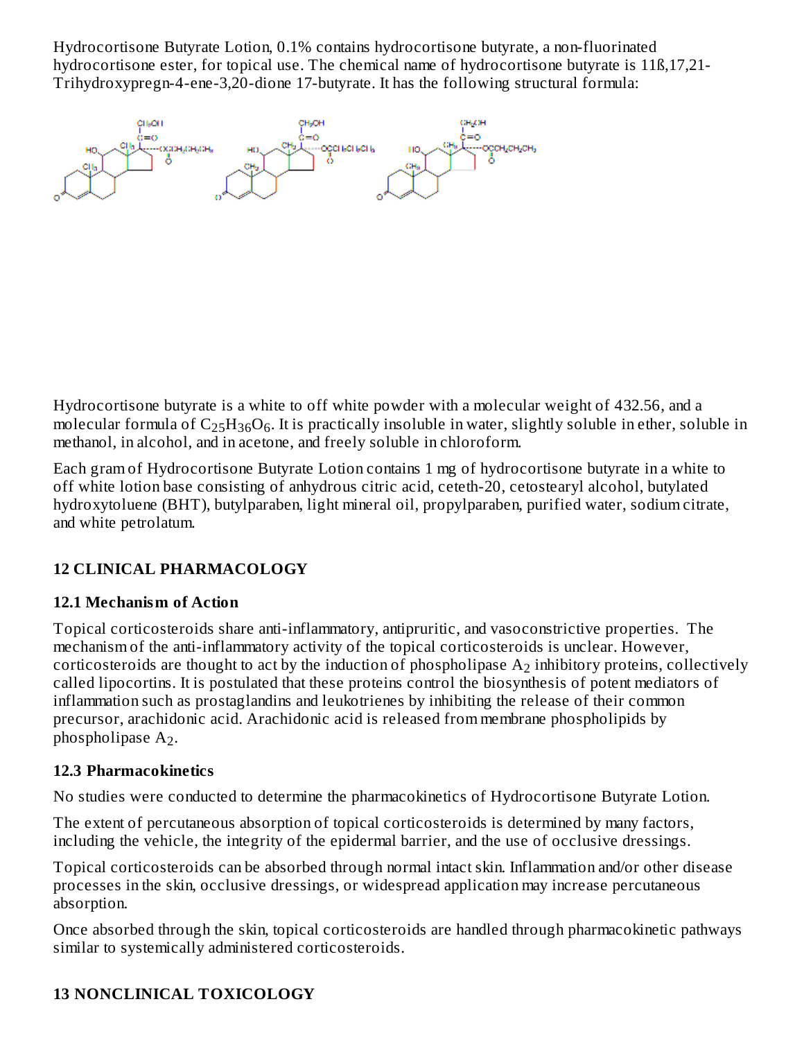Hydrocortisone Butyrate Lotion, 0.1% contains hydrocortisone butyrate, a non-fluorinated hydrocortisone ester, for topical use. The chemical name of hydrocortisone butyrate is 118,17,21-Trihydroxypregn-4-ene-3,20-dione 17-butyrate. It has the following structural formula:

Hydrocortisone butyrate is a white to off white powder with a molecular weight of 432.56, and a molecular formula of  $\rm{C_{25}H_{36}O_6}$ . It is practically insoluble in water, slightly soluble in ether, soluble in methanol, in alcohol, and in acetone, and freely soluble in chloroform.

Each gram of Hydrocortisone Butyrate Lotion contains 1 mg of hydrocortisone butyrate in a white to off white lotion base consisting of anhydrous citric acid, ceteth-20, cetostearyl alcohol, butylated hydroxytoluene (BHT), butylparaben, light mineral oil, propylparaben, purified water, sodium citrate, and white petrolatum.

# **12 CLINICAL PHARMACOLOGY**

# **12.1 Mechanism of Action**

Topical corticosteroids share anti-inflammatory, antipruritic, and vasoconstrictive properties. The mechanism of the anti-inflammatory activity of the topical corticosteroids is unclear. However, corticosteroids are thought to act by the induction of phospholipase  $\rm A_{2}$  inhibitory proteins, collectively called lipocortins. It is postulated that these proteins control the biosynthesis of potent mediators of inflammation such as prostaglandins and leukotrienes by inhibiting the release of their common precursor, arachidonic acid. Arachidonic acid is released from membrane phospholipids by phospholipase  $A_2$ .

# **12.3 Pharmacokinetics**

No studies were conducted to determine the pharmacokinetics of Hydrocortisone Butyrate Lotion.

The extent of percutaneous absorption of topical corticosteroids is determined by many factors, including the vehicle, the integrity of the epidermal barrier, and the use of occlusive dressings.

Topical corticosteroids can be absorbed through normal intact skin. Inflammation and/or other disease processes in the skin, occlusive dressings, or widespread application may increase percutaneous absorption.

Once absorbed through the skin, topical corticosteroids are handled through pharmacokinetic pathways similar to systemically administered corticosteroids.

# **13 NONCLINICAL TOXICOLOGY**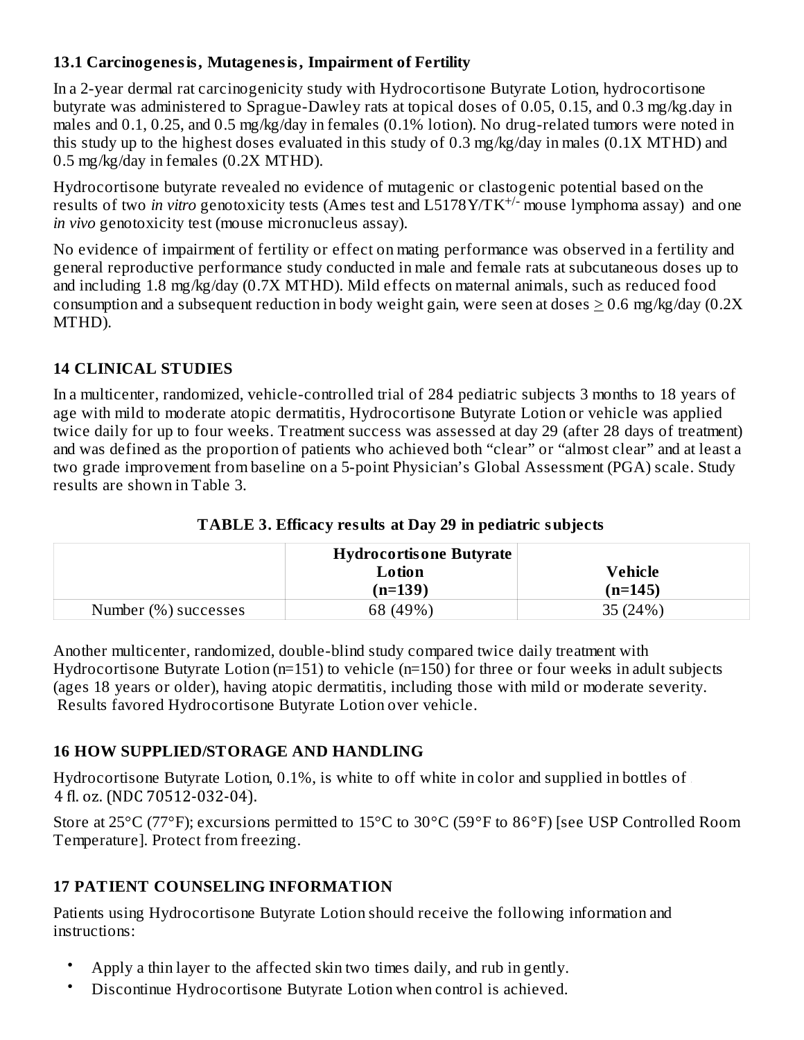# **13.1 Carcinogenesis, Mutagenesis, Impairment of Fertility**

In a 2-year dermal rat carcinogenicity study with Hydrocortisone Butyrate Lotion, hydrocortisone butyrate was administered to Sprague-Dawley rats at topical doses of 0.05, 0.15, and 0.3 mg/kg.day in males and 0.1, 0.25, and 0.5 mg/kg/day in females (0.1% lotion). No drug-related tumors were noted in this study up to the highest doses evaluated in this study of 0.3 mg/kg/day in males (0.1X MTHD) and 0.5 mg/kg/day in females (0.2X MTHD).

Hydrocortisone butyrate revealed no evidence of mutagenic or clastogenic potential based on the results of two *in vitro* genotoxicity tests (Ames test and L5178Y/TK<sup>+/-</sup> mouse lymphoma assay) and one *in vivo* genotoxicity test (mouse micronucleus assay).

No evidence of impairment of fertility or effect on mating performance was observed in a fertility and general reproductive performance study conducted in male and female rats at subcutaneous doses up to and including 1.8 mg/kg/day (0.7X MTHD). Mild effects on maternal animals, such as reduced food consumption and a subsequent reduction in body weight gain, were seen at doses  $> 0.6$  mg/kg/day (0.2X) MTHD).

# **14 CLINICAL STUDIES**

In a multicenter, randomized, vehicle-controlled trial of 284 pediatric subjects 3 months to 18 years of age with mild to moderate atopic dermatitis, Hydrocortisone Butyrate Lotion or vehicle was applied twice daily for up to four weeks. Treatment success was assessed at day 29 (after 28 days of treatment) and was defined as the proportion of patients who achieved both "clear" or "almost clear" and at least a two grade improvement from baseline on a 5-point Physician's Global Assessment (PGA) scale. Study results are shown in Table 3.

|                      | Hydrocortisone Butyrate |           |  |
|----------------------|-------------------------|-----------|--|
|                      | Lotion                  | Vehicle   |  |
|                      | $(n=139)$               | $(n=145)$ |  |
| Number (%) successes | 68 (49%)                | 35 (24%)  |  |

### **TABLE 3. Efficacy results at Day 29 in pediatric subjects**

Another multicenter, randomized, double-blind study compared twice daily treatment with Hydrocortisone Butyrate Lotion (n=151) to vehicle (n=150) for three or four weeks in adult subjects (ages 18 years or older), having atopic dermatitis, including those with mild or moderate severity. Results favored Hydrocortisone Butyrate Lotion over vehicle.

# **16 HOW SUPPLIED/STORAGE AND HANDLING**

Hydrocortisone Butyrate Lotion,  $0.1\%$ , is white to off white in color and supplied in bottles of 4 fl. oz. (NDC 70512-032-04).

Store at 25°C (77°F); excursions permitted to 15°C to 30°C (59°F to 86°F) [see USP Controlled Room Temperature]. Protect from freezing.

# **17 PATIENT COUNSELING INFORMATION**

Patients using Hydrocortisone Butyrate Lotion should receive the following information and instructions:

- Apply a thin layer to the affected skin two times daily, and rub in gently.
- Discontinue Hydrocortisone Butyrate Lotion when control is achieved.